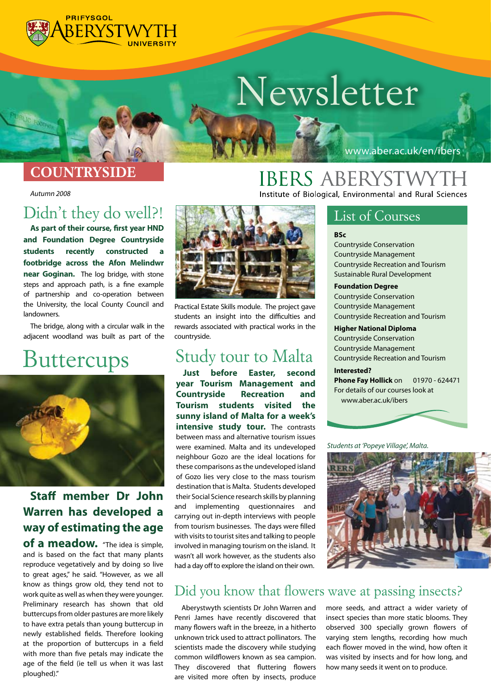

# *Newsletter*

### *COUNTRYSIDE*

*Autumn 2008* 

## *Didn't they do well?!*

**As part of their course, first year HND and Foundation Degree Countryside**  students recently constructed **footbridge across the Afon Melindwr near Goginan.** The log bridge, with stone steps and approach path, is a fine example of partnership and co-operation between the University, the local County Council and landowners.

The bridge, along with a circular walk in the adjacent woodland was built as part of the

## **Buttercups** Study tour to Malta



### **Staff member Dr John Warren has developed a way of estimating the age**

**of a meadow.** "The idea is simple, and is based on the fact that many plants reproduce vegetatively and by doing so live to great ages," he said. "However, as we all know as things grow old, they tend not to work quite as well as when they were younger. Preliminary research has shown that old buttercups from older pastures are more likely to have extra petals than young buttercup in newly established fields. Therefore looking at the proportion of buttercups in a field with more than five petals may indicate the age of the field (ie tell us when it was last ploughed)."



Practical Estate Skills module. The project gave students an insight into the difficulties and rewards associated with practical works in the countryside.

## *Study tour to Malta*

**year Tourism Management and Countryside Recreation and Tourism students visited the sunny island of Malta for a week's intensive study tour.** The contrasts between mass and alternative tourism issues were examined. Malta and its undeveloped neighbour Gozo are the ideal locations for these comparisons as the undeveloped island of Gozo lies very close to the mass tourism destination that is Malta. Students developed their Social Science research skills by planning and implementing questionnaires and carrying out in-depth interviews with people from tourism businesses. The days were filled with visits to tourist sites and talking to people involved in managing tourism on the island. It wasn't all work however, as the students also had a day off to explore the island on their own.

## **IBERS ABERYSTWYTH**

Institute of Biological, Environmental and Rural Sciences

### *List of Courses*

#### **BSc**

Countryside Conservation Countryside Management Countryside Recreation and Tourism Sustainable Rural Development

www.aber.ac.uk/en/ibers

#### **Foundation Degree**

Countryside Conservation Countryside Management Countryside Recreation and Tourism

#### **Higher National Diploma**

Countryside Conservation Countryside Management Countryside Recreation and Tourism

#### **Interested?**

**Phone Fay Hollick** on 01970 - 624471 For details of our courses look at www.aber.ac.uk/ibers

*Students at 'Popeye Village', Malta.*



### *Did you know that flowers wave at passing insects?*

Aberystwyth scientists Dr John Warren and Penri James have recently discovered that many flowers waft in the breeze, in a hitherto unknown trick used to attract pollinators. The scientists made the discovery while studying common wildflowers known as sea campion. They discovered that fluttering flowers are visited more often by insects, produce

more seeds, and attract a wider variety of insect species than more static blooms. They observed 300 specially grown flowers of varying stem lengths, recording how much each flower moved in the wind, how often it was visited by insects and for how long, and how many seeds it went on to produce.